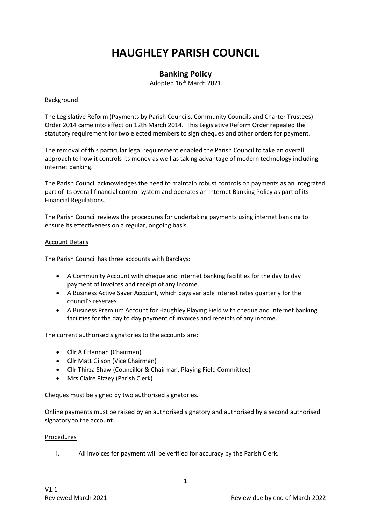# **HAUGHLEY PARISH COUNCIL**

## **Banking Policy**

Adopted 16<sup>th</sup> March 2021

#### **Background**

The Legislative Reform (Payments by Parish Councils, Community Councils and Charter Trustees) Order 2014 came into effect on 12th March 2014. This Legislative Reform Order repealed the statutory requirement for two elected members to sign cheques and other orders for payment.

The removal of this particular legal requirement enabled the Parish Council to take an overall approach to how it controls its money as well as taking advantage of modern technology including internet banking.

The Parish Council acknowledges the need to maintain robust controls on payments as an integrated part of its overall financial control system and operates an Internet Banking Policy as part of its Financial Regulations.

The Parish Council reviews the procedures for undertaking payments using internet banking to ensure its effectiveness on a regular, ongoing basis.

#### Account Details

The Parish Council has three accounts with Barclays:

- A Community Account with cheque and internet banking facilities for the day to day payment of invoices and receipt of any income.
- A Business Active Saver Account, which pays variable interest rates quarterly for the council's reserves.
- A Business Premium Account for Haughley Playing Field with cheque and internet banking facilities for the day to day payment of invoices and receipts of any income.

The current authorised signatories to the accounts are:

- Cllr Alf Hannan (Chairman)
- Cllr Matt Gilson (Vice Chairman)
- Cllr Thirza Shaw (Councillor & Chairman, Playing Field Committee)
- Mrs Claire Pizzey (Parish Clerk)

Cheques must be signed by two authorised signatories.

Online payments must be raised by an authorised signatory and authorised by a second authorised signatory to the account.

### Procedures

i. All invoices for payment will be verified for accuracy by the Parish Clerk.